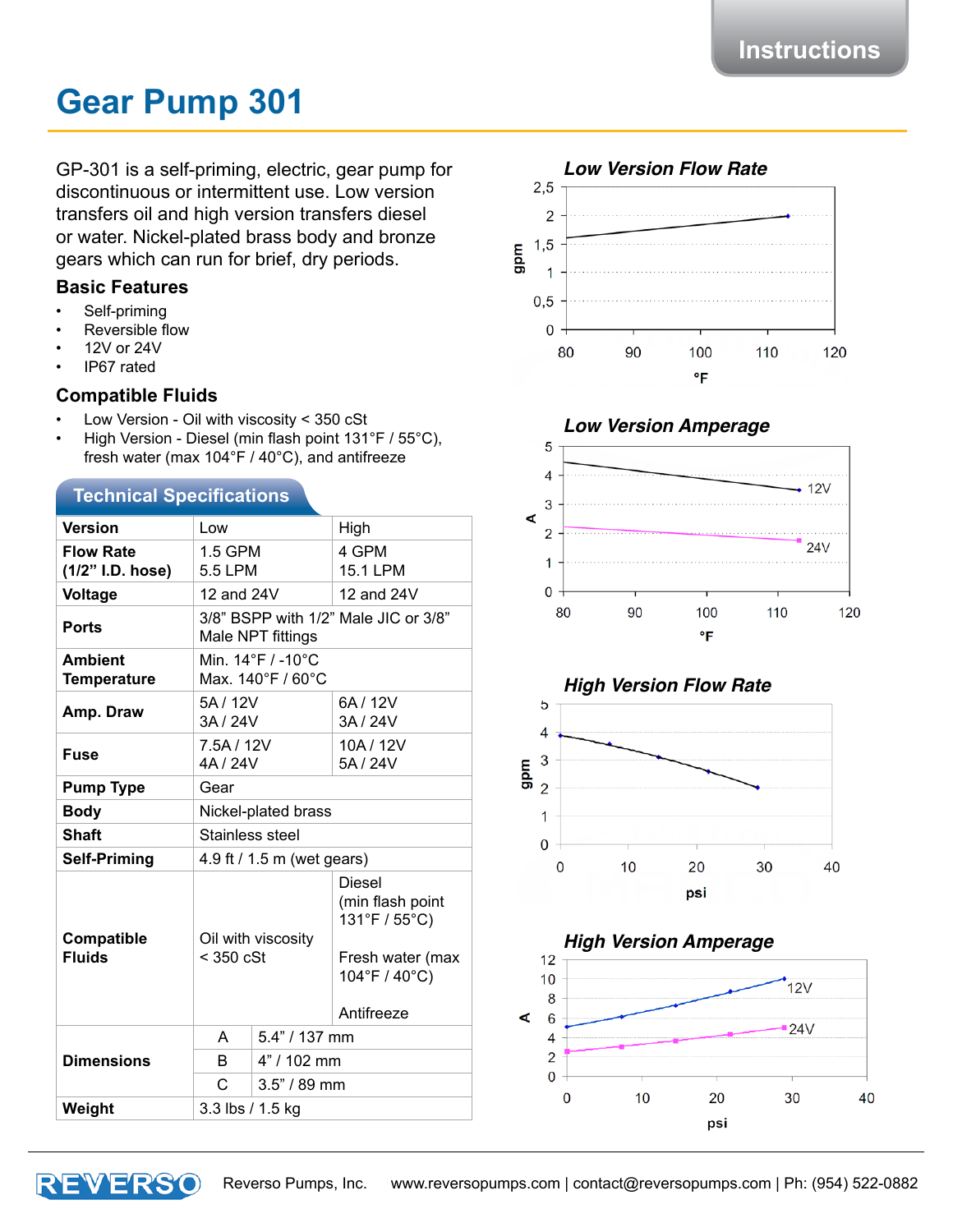# **Gear Pump 301**

GP-301 is a self-priming, electric, gear pump for discontinuous or intermittent use. Low version transfers oil and high version transfers diesel or water. Nickel-plated brass body and bronze gears which can run for brief, dry periods.

#### **Basic Features**

- Self-priming
- **Reversible flow**
- 12V or 24V
- IP67 rated

#### **Compatible Fluids**

- Low Version Oil with viscosity < 350 cSt
- High Version Diesel (min flash point  $131^{\circ}F / 55^{\circ}C$ ), fresh water (max 104°F / 40°C), and antifreeze

#### **Technical Specifications**

| <b>Version</b>                       | Low                                                       |                | High                                                                                                  |
|--------------------------------------|-----------------------------------------------------------|----------------|-------------------------------------------------------------------------------------------------------|
| <b>Flow Rate</b><br>(1/2" I.D. hose) | 1.5 GPM<br>5.5 LPM                                        |                | 4 GPM<br>15.1 LPM                                                                                     |
| <b>Voltage</b>                       | 12 and 24V                                                |                | 12 and 24V                                                                                            |
| <b>Ports</b>                         | 3/8" BSPP with 1/2" Male JIC or 3/8"<br>Male NPT fittings |                |                                                                                                       |
| <b>Ambient</b><br><b>Temperature</b> | Min. 14°F / -10°C<br>Max. 140°F / 60°C                    |                |                                                                                                       |
| Amp. Draw                            | 5A / 12V<br>3A / 24V                                      |                | 6A / 12V<br>3A / 24V                                                                                  |
| <b>Fuse</b>                          | 7.5A / 12V<br>4A / 24V                                    |                | 10A/12V<br>5A / 24V                                                                                   |
| <b>Pump Type</b>                     | Gear                                                      |                |                                                                                                       |
| <b>Body</b>                          | Nickel-plated brass                                       |                |                                                                                                       |
| <b>Shaft</b>                         | Stainless steel                                           |                |                                                                                                       |
| <b>Self-Priming</b>                  | 4.9 ft / 1.5 m (wet gears)                                |                |                                                                                                       |
| Compatible<br><b>Fluids</b>          | Oil with viscosity<br>$<$ 350 cSt                         |                | <b>Diesel</b><br>(min flash point<br>131°F / 55°C)<br>Fresh water (max<br>104°F / 40°C)<br>Antifreeze |
| <b>Dimensions</b>                    | A                                                         | 5.4" / 137 mm  |                                                                                                       |
|                                      | B                                                         | 4" / 102 mm    |                                                                                                       |
|                                      | C                                                         | $3.5" / 89$ mm |                                                                                                       |
| Weight                               | 3.3 lbs / 1.5 kg                                          |                |                                                                                                       |



# *Low Version Amperage*



*High Version Flow Rate*



*High Version Amperage*